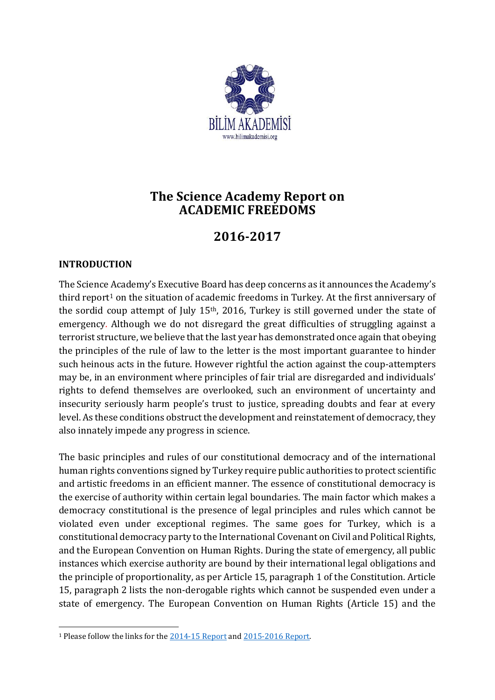

# **The Science Academy Report on ACADEMIC FREEDOMS**

# **2016-2017**

## **INTRODUCTION**

1

The Science Academy's Executive Board has deep concerns as it announces the Academy's third report<sup>1</sup> on the situation of academic freedoms in Turkey. At the first anniversary of the sordid coup attempt of July 15th, 2016, Turkey is still governed under the state of emergency*.* Although we do not disregard the great difficulties of struggling against a terrorist structure, we believe that the last year has demonstrated once again that obeying the principles of the rule of law to the letter is the most important guarantee to hinder such heinous acts in the future. However rightful the action against the coup-attempters may be, in an environment where principles of fair trial are disregarded and individuals' rights to defend themselves are overlooked, such an environment of uncertainty and insecurity seriously harm people's trust to justice, spreading doubts and fear at every level. As these conditions obstruct the development and reinstatement of democracy, they also innately impede any progress in science.

The basic principles and rules of our constitutional democracy and of the international human rights conventions signed by Turkey require public authorities to protect scientific and artistic freedoms in an efficient manner. The essence of constitutional democracy is the exercise of authority within certain legal boundaries. The main factor which makes a democracy constitutional is the presence of legal principles and rules which cannot be violated even under exceptional regimes. The same goes for Turkey, which is a constitutional democracy party to the International Covenant on Civil and Political Rights, and the European Convention on Human Rights. During the state of emergency, all public instances which exercise authority are bound by their international legal obligations and the principle of proportionality, as per Article 15, paragraph 1 of the Constitution. Article 15, paragraph 2 lists the non-derogable rights which cannot be suspended even under a state of emergency. The European Convention on Human Rights (Article 15) and the

<sup>1</sup> Please follow the links for th[e 2014-15 Report](http://en.bilimakademisi.org/the-science-academy-report-on-academic-freedoms-2015/) and [2015-2016 Report.](http://en.bilimakademisi.org/wp-content/uploads/2016/10/The-Science-Academy-Report-on-ACADEMIC-FREEDOMS-2015-2016.pdf)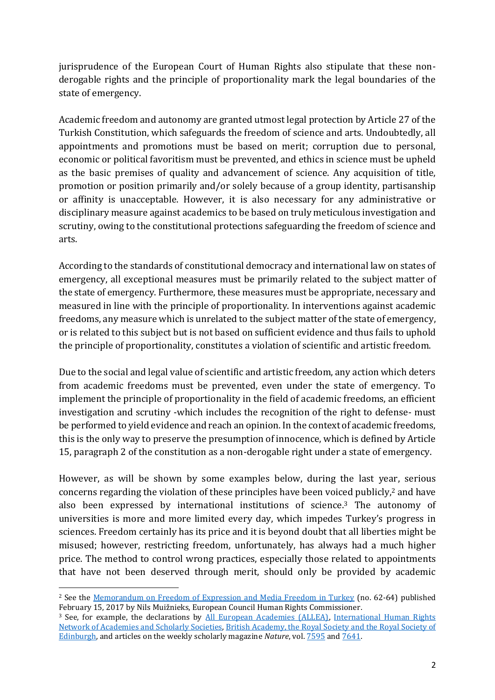jurisprudence of the European Court of Human Rights also stipulate that these nonderogable rights and the principle of proportionality mark the legal boundaries of the state of emergency.

Academic freedom and autonomy are granted utmost legal protection by Article 27 of the Turkish Constitution, which safeguards the freedom of science and arts. Undoubtedly, all appointments and promotions must be based on merit; corruption due to personal, economic or political favoritism must be prevented, and ethics in science must be upheld as the basic premises of quality and advancement of science. Any acquisition of title, promotion or position primarily and/or solely because of a group identity, partisanship or affinity is unacceptable. However, it is also necessary for any administrative or disciplinary measure against academics to be based on truly meticulous investigation and scrutiny, owing to the constitutional protections safeguarding the freedom of science and arts.

According to the standards of constitutional democracy and international law on states of emergency, all exceptional measures must be primarily related to the subject matter of the state of emergency. Furthermore, these measures must be appropriate, necessary and measured in line with the principle of proportionality. In interventions against academic freedoms, any measure which is unrelated to the subject matter of the state of emergency, or is related to this subject but is not based on sufficient evidence and thus fails to uphold the principle of proportionality, constitutes a violation of scientific and artistic freedom.

Due to the social and legal value of scientific and artistic freedom, any action which deters from academic freedoms must be prevented, even under the state of emergency. To implement the principle of proportionality in the field of academic freedoms, an efficient investigation and scrutiny -which includes the recognition of the right to defense- must be performed to yield evidence and reach an opinion. In the context of academic freedoms, this is the only way to preserve the presumption of innocence, which is defined by Article 15, paragraph 2 of the constitution as a non-derogable right under a state of emergency.

However, as will be shown by some examples below, during the last year, serious concerns regarding the violation of these principles have been voiced publicly, <sup>2</sup> and have also been expressed by international institutions of science. <sup>3</sup> The autonomy of universities is more and more limited every day, which impedes Turkey's progress in sciences. Freedom certainly has its price and it is beyond doubt that all liberties might be misused; however, restricting freedom, unfortunately, has always had a much higher price. The method to control wrong practices, especially those related to appointments that have not been deserved through merit, should only be provided by academic

**<sup>.</sup>** <sup>2</sup> See the [Memorandum on Freedom of Expression and Media Freedom in Turkey](https://wcd.coe.int/com.instranet.InstraServlet?command=com.instranet.CmdBlobGet&InstranetImage=2961658&SecMode=1&DocId=2397056&Usage=2) (no. 62-64) published February 15, 2017 by Nils Muižnieks, European Council Human Rights Commissioner.

<sup>&</sup>lt;sup>3</sup> See, for example, the declarations by [All European Academies \(ALLEA\),](http://www.allea.org/wp-content/uploads/2016/08/ALLEAStatementTurkeyCoup.pdf) International Human Rights [Network of Academies and Scholarly Societies,](http://www.academie-sciences.fr/pdf/communique/declaration_0116.pdf) British Academy, the Royal [Society and the Royal Society of](http://www.britac.ac.uk/sites/default/files/2016-07-22%20Statement%20on%20the%20current%20situation%20in%20Turkey%20FINAL.pdf)  [Edinburgh,](http://www.britac.ac.uk/sites/default/files/2016-07-22%20Statement%20on%20the%20current%20situation%20in%20Turkey%20FINAL.pdf) and articles on the weekly scholarly magazine *Nature*, vol[. 7595](http://www.nature.com/news/power-of-the-pen-1.19618) and [7641.](http://www.nature.com/news/the-turkish-paradox-can-scientists-thrive-in-a-state-of-emergency-1.21475)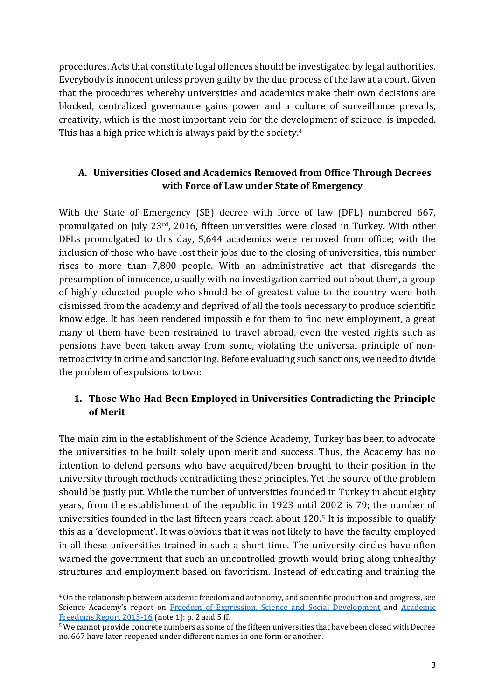procedures. Acts that constitute legal offences should be investigated by legal authorities. Everybody is innocent unless proven guilty by the due process of the law at a court. Given that the procedures whereby universities and academics make their own decisions are blocked, centralized governance gains power and a culture of surveillance prevails, creativity, which is the most important vein for the development of science, is impeded. This has a high price which is always paid by the society.<sup>4</sup>

## **A. Universities Closed and Academics Removed from Office Through Decrees with Force of Law under State of Emergency**

With the State of Emergency (SE) decree with force of law (DFL) numbered 667, promulgated on July 23rd, 2016, fifteen universities were closed in Turkey. With other DFLs promulgated to this day, 5,644 academics were removed from office; with the inclusion of those who have lost their jobs due to the closing of universities, this number rises to more than 7,800 people. With an administrative act that disregards the presumption of innocence, usually with no investigation carried out about them, a group of highly educated people who should be of greatest value to the country were both dismissed from the academy and deprived of all the tools necessary to produce scientific knowledge. It has been rendered impossible for them to find new employment, a great many of them have been restrained to travel abroad, even the vested rights such as pensions have been taken away from some, violating the universal principle of nonretroactivity in crime and sanctioning. Before evaluating such sanctions, we need to divide the problem of expulsions to two:

# **1. Those Who Had Been Employed in Universities Contradicting the Principle of Merit**

The main aim in the establishment of the Science Academy, Turkey has been to advocate the universities to be built solely upon merit and success. Thus, the Academy has no intention to defend persons who have acquired/been brought to their position in the university through methods contradicting these principles. Yet the source of the problem should be justly put. While the number of universities founded in Turkey in about eighty years, from the establishment of the republic in 1923 until 2002 is 79; the number of universities founded in the last fifteen years reach about 120.<sup>5</sup> It is impossible to qualify this as a 'development'. It was obvious that it was not likely to have the faculty employed in all these universities trained in such a short time. The university circles have often warned the government that such an uncontrolled growth would bring along unhealthy structures and employment based on favoritism. Instead of educating and training the

<sup>4</sup> On the relationship between academic freedom and autonomy, and scientific production and progress, see Science Academy's report on Freedom [of Expression, Science and Social Development](http://en.bilimakademisi.org/wp-content/uploads/2016/04/Freedom-of-Expression-Science-and-Social-Development.pdf) and Academic [Freedoms Report 2015-16](http://en.bilimakademisi.org/wp-content/uploads/2016/10/The-Science-Academy-Report-on-ACADEMIC-FREEDOMS-2015-2016.pdf) (note 1): p. 2 and 5 ff.

<sup>5</sup> We cannot provide concrete numbers as some of the fifteen universities that have been closed with Decree no. 667 have later reopened under different names in one form or another.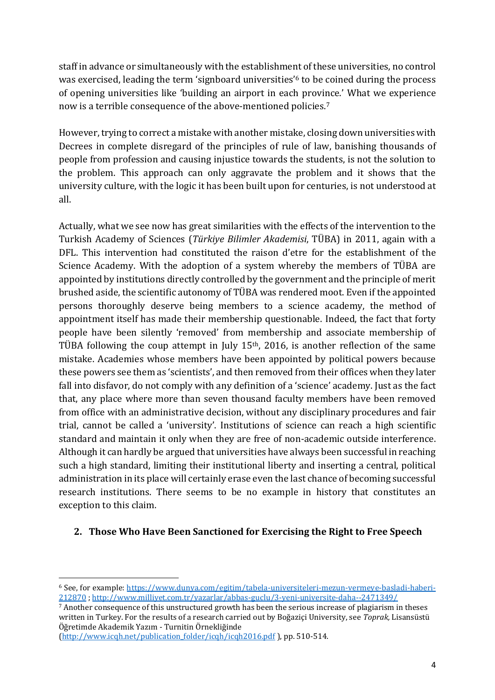staff in advance or simultaneously with the establishment of these universities, no control was exercised, leading the term 'signboard universities'<sup>6</sup> to be coined during the process of opening universities like 'building an airport in each province.' What we experience now is a terrible consequence of the above-mentioned policies.<sup>7</sup>

However, trying to correct a mistake with another mistake, closing down universities with Decrees in complete disregard of the principles of rule of law, banishing thousands of people from profession and causing injustice towards the students, is not the solution to the problem. This approach can only aggravate the problem and it shows that the university culture, with the logic it has been built upon for centuries, is not understood at all.

Actually, what we see now has great similarities with the effects of the intervention to the Turkish Academy of Sciences (*Türkiye Bilimler Akademisi*, TÜBA) in 2011, again with a DFL. This intervention had constituted the raison d'etre for the establishment of the Science Academy. With the adoption of a system whereby the members of TÜBA are appointed by institutions directly controlled by the government and the principle of merit brushed aside, the scientific autonomy of TÜBA was rendered moot. Even if the appointed persons thoroughly deserve being members to a science academy, the method of appointment itself has made their membership questionable. Indeed, the fact that forty people have been silently 'removed' from membership and associate membership of TÜBA following the coup attempt in July 15th, 2016, is another reflection of the same mistake. Academies whose members have been appointed by political powers because these powers see them as 'scientists', and then removed from their offices when they later fall into disfavor, do not comply with any definition of a 'science' academy. Just as the fact that, any place where more than seven thousand faculty members have been removed from office with an administrative decision, without any disciplinary procedures and fair trial, cannot be called a 'university'. Institutions of science can reach a high scientific standard and maintain it only when they are free of non-academic outside interference. Although it can hardly be argued that universities have always been successful in reaching such a high standard, limiting their institutional liberty and inserting a central, political administration in its place will certainly erase even the last chance of becoming successful research institutions. There seems to be no example in history that constitutes an exception to this claim.

#### **2. Those Who Have Been Sanctioned for Exercising the Right to Free Speech**

<sup>7</sup> Another consequence of this unstructured growth has been the serious increase of plagiarism in theses written in Turkey. For the results of a research carried out by Boğaziçi University, see *Toprak,* Lisansüstü Öğretimde Akademik Yazım - Turnitin Örnekliğinde

[\(http://www.icqh.net/publication\\_folder/icqh/icqh2016.pdf](http://www.icqh.net/publication_folder/icqh/icqh2016.pdf) ), pp. 510-514.

<sup>6</sup> See, for example: [https://www.dunya.com/egitim/tabela-universiteleri-mezun-vermeye-basladi-haberi-](https://www.dunya.com/egitim/tabela-universiteleri-mezun-vermeye-basladi-haberi-212870)[212870](https://www.dunya.com/egitim/tabela-universiteleri-mezun-vermeye-basladi-haberi-212870) ;<http://www.milliyet.com.tr/yazarlar/abbas-guclu/3-yeni-universite-daha--2471349/>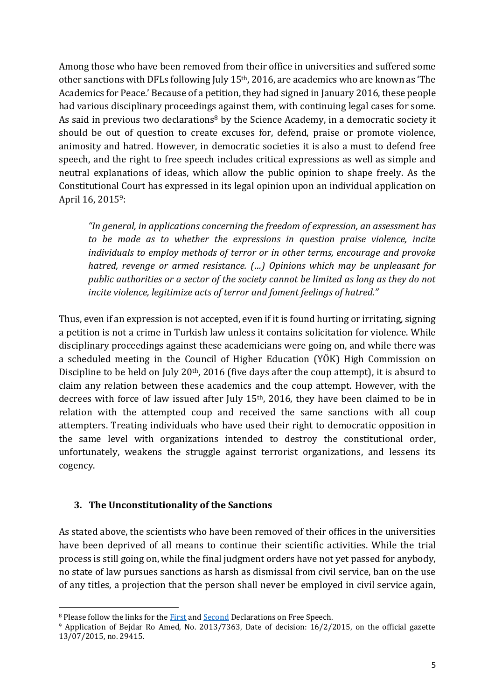Among those who have been removed from their office in universities and suffered some other sanctions with DFLs following July 15th, 2016, are academics who are known as 'The Academics for Peace.' Because of a petition, they had signed in January 2016, these people had various disciplinary proceedings against them, with continuing legal cases for some. As said in previous two declarations<sup>8</sup> by the Science Academy, in a democratic society it should be out of question to create excuses for, defend, praise or promote violence, animosity and hatred. However, in democratic societies it is also a must to defend free speech, and the right to free speech includes critical expressions as well as simple and neutral explanations of ideas, which allow the public opinion to shape freely. As the Constitutional Court has expressed in its legal opinion upon an individual application on April 16, 20159:

*"In general, in applications concerning the freedom of expression, an assessment has to be made as to whether the expressions in question praise violence, incite individuals to employ methods of terror or in other terms, encourage and provoke hatred, revenge or armed resistance. (…) Opinions which may be unpleasant for public authorities or a sector of the society cannot be limited as long as they do not incite violence, legitimize acts of terror and foment feelings of hatred."*

Thus, even if an expression is not accepted, even if it is found hurting or irritating, signing a petition is not a crime in Turkish law unless it contains solicitation for violence. While disciplinary proceedings against these academicians were going on, and while there was a scheduled meeting in the Council of Higher Education (YÖK) High Commission on Discipline to be held on July 20<sup>th</sup>, 2016 (five days after the coup attempt), it is absurd to claim any relation between these academics and the coup attempt. However, with the decrees with force of law issued after July 15<sup>th</sup>, 2016, they have been claimed to be in relation with the attempted coup and received the same sanctions with all coup attempters. Treating individuals who have used their right to democratic opposition in the same level with organizations intended to destroy the constitutional order, unfortunately, weakens the struggle against terrorist organizations, and lessens its cogency.

#### **3. The Unconstitutionality of the Sanctions**

 $\overline{a}$ 

As stated above, the scientists who have been removed of their offices in the universities have been deprived of all means to continue their scientific activities. While the trial process is still going on, while the final judgment orders have not yet passed for anybody, no state of law pursues sanctions as harsh as dismissal from civil service, ban on the use of any titles, a projection that the person shall never be employed in civil service again,

<sup>&</sup>lt;sup>8</sup> Please follow the links for the **First and [Second](http://en.bilimakademisi.org/the-science-academys-second-declaration-on-freedom-of-expression/)** Declarations on Free Speech.

<sup>9</sup> Application of Bejdar Ro Amed, No. 2013/7363, Date of decision: 16/2/2015, on the official gazette 13/07/2015, no. 29415.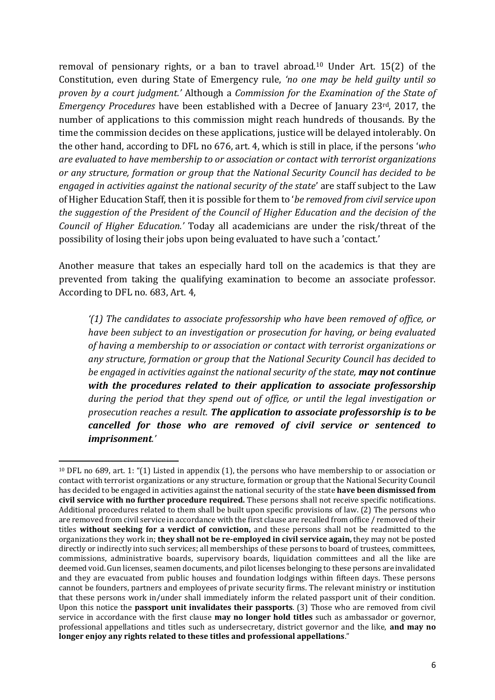removal of pensionary rights, or a ban to travel abroad.<sup>10</sup> Under Art. 15(2) of the Constitution, even during State of Emergency rule, *'no one may be held guilty until so proven by a court judgment.'* Although a *Commission for the Examination of the State of Emergency Procedures* have been established with a Decree of January 23rd, 2017, the number of applications to this commission might reach hundreds of thousands. By the time the commission decides on these applications, justice will be delayed intolerably. On the other hand, according to DFL no 676, art. 4, which is still in place, if the persons '*who are evaluated to have membership to or association or contact with terrorist organizations or any structure, formation or group that the National Security Council has decided to be engaged in activities against the national security of the state*' are staff subject to the Law of Higher Education Staff, then it is possible for them to '*be removed from civil service upon the suggestion of the President of the Council of Higher Education and the decision of the Council of Higher Education.'* Today all academicians are under the risk/threat of the possibility of losing their jobs upon being evaluated to have such a 'contact.'

Another measure that takes an especially hard toll on the academics is that they are prevented from taking the qualifying examination to become an associate professor. According to DFL no. 683, Art. 4,

*'(1) The candidates to associate professorship who have been removed of office, or have been subject to an investigation or prosecution for having, or being evaluated of having a membership to or association or contact with terrorist organizations or any structure, formation or group that the National Security Council has decided to be engaged in activities against the national security of the state, may not continue with the procedures related to their application to associate professorship during the period that they spend out of office, or until the legal investigation or prosecution reaches a result. The application to associate professorship is to be cancelled for those who are removed of civil service or sentenced to imprisonment.'*

1

<sup>10</sup> DFL no 689, art. 1: "(1) Listed in appendix (1), the persons who have membership to or association or contact with terrorist organizations or any structure, formation or group that the National Security Council has decided to be engaged in activities against the national security of the state **have been dismissed from civil service with no further procedure required.** These persons shall not receive specific notifications. Additional procedures related to them shall be built upon specific provisions of law. (2) The persons who are removed from civil service in accordance with the first clause are recalled from office / removed of their titles **without seeking for a verdict of conviction,** and these persons shall not be readmitted to the organizations they work in; **they shall not be re-employed in civil service again,** they may not be posted directly or indirectly into such services; all memberships of these persons to board of trustees, committees, commissions, administrative boards, supervisory boards, liquidation committees and all the like are deemed void. Gun licenses, seamen documents, and pilot licenses belonging to these persons are invalidated and they are evacuated from public houses and foundation lodgings within fifteen days. These persons cannot be founders, partners and employees of private security firms. The relevant ministry or institution that these persons work in/under shall immediately inform the related passport unit of their condition. Upon this notice the **passport unit invalidates their passports**. (3) Those who are removed from civil service in accordance with the first clause **may no longer hold titles** such as ambassador or governor, professional appellations and titles such as undersecretary, district governor and the like, **and may no longer enjoy any rights related to these titles and professional appellations**."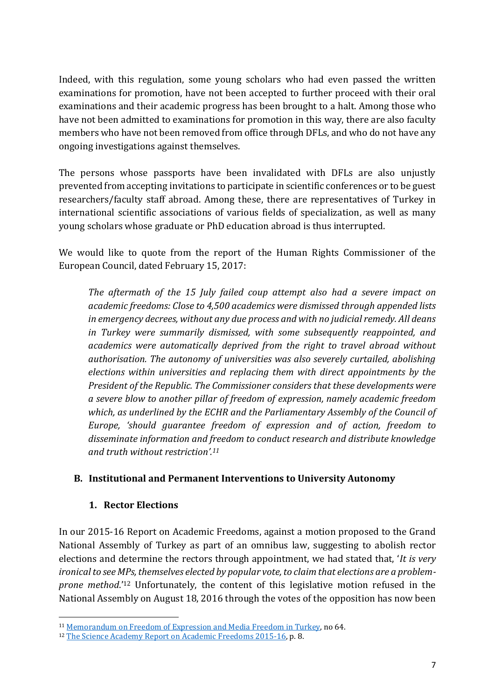Indeed, with this regulation, some young scholars who had even passed the written examinations for promotion, have not been accepted to further proceed with their oral examinations and their academic progress has been brought to a halt. Among those who have not been admitted to examinations for promotion in this way, there are also faculty members who have not been removed from office through DFLs, and who do not have any ongoing investigations against themselves.

The persons whose passports have been invalidated with DFLs are also unjustly prevented from accepting invitations to participate in scientific conferences or to be guest researchers/faculty staff abroad. Among these, there are representatives of Turkey in international scientific associations of various fields of specialization, as well as many young scholars whose graduate or PhD education abroad is thus interrupted.

We would like to quote from the report of the Human Rights Commissioner of the European Council, dated February 15, 2017:

*The aftermath of the 15 July failed coup attempt also had a severe impact on academic freedoms: Close to 4,500 academics were dismissed through appended lists in emergency decrees, without any due process and with no judicial remedy. All deans in Turkey were summarily dismissed, with some subsequently reappointed, and academics were automatically deprived from the right to travel abroad without authorisation. The autonomy of universities was also severely curtailed, abolishing elections within universities and replacing them with direct appointments by the President of the Republic. The Commissioner considers that these developments were a severe blow to another pillar of freedom of expression, namely academic freedom which, as underlined by the ECHR and the Parliamentary Assembly of the Council of Europe, 'should guarantee freedom of expression and of action, freedom to disseminate information and freedom to conduct research and distribute knowledge and truth without restriction'.<sup>11</sup>*

#### **B. Institutional and Permanent Interventions to University Autonomy**

#### **1. Rector Elections**

**.** 

In our 2015-16 Report on Academic Freedoms, against a motion proposed to the Grand National Assembly of Turkey as part of an omnibus law, suggesting to abolish rector elections and determine the rectors through appointment, we had stated that, '*It is very ironical to see MPs, themselves elected by popular vote, to claim that elections are a problemprone method*.'<sup>12</sup> Unfortunately, the content of this legislative motion refused in the National Assembly on August 18, 2016 through the votes of the opposition has now been

<sup>&</sup>lt;sup>11</sup> [Memorandum on Freedom of Expression and Media Freedom in Turkey,](https://wcd.coe.int/com.instranet.InstraServlet?command=com.instranet.CmdBlobGet&InstranetImage=2961658&SecMode=1&DocId=2397056&Usage=2) no 64.

<sup>&</sup>lt;sup>12</sup> [The Science Academy Report on Academic Freedoms 2015-16,](http://en.bilimakademisi.org/wp-content/uploads/2016/10/The-Science-Academy-Report-on-ACADEMIC-FREEDOMS-2015-2016.pdf) p. 8.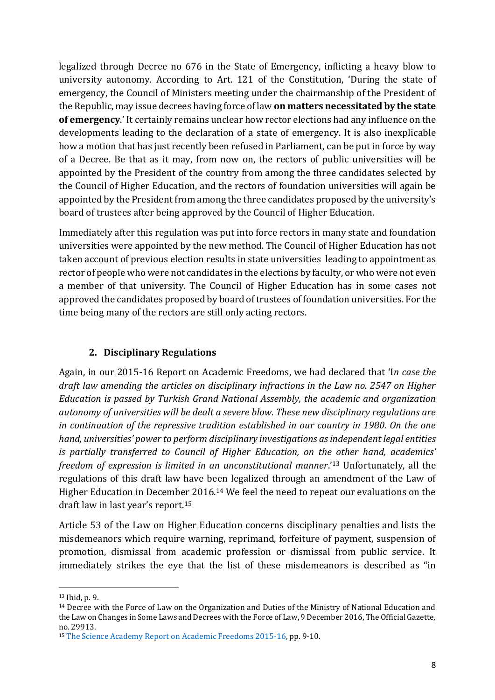legalized through Decree no 676 in the State of Emergency, inflicting a heavy blow to university autonomy. According to Art. 121 of the Constitution, 'During the state of emergency, the Council of Ministers meeting under the chairmanship of the President of the Republic, may issue decrees having force of law **on matters necessitated by the state of emergency**.' It certainly remains unclear how rector elections had any influence on the developments leading to the declaration of a state of emergency. It is also inexplicable how a motion that has just recently been refused in Parliament, can be put in force by way of a Decree. Be that as it may, from now on, the rectors of public universities will be appointed by the President of the country from among the three candidates selected by the Council of Higher Education, and the rectors of foundation universities will again be appointed by the President from among the three candidates proposed by the university's board of trustees after being approved by the Council of Higher Education.

Immediately after this regulation was put into force rectors in many state and foundation universities were appointed by the new method. The Council of Higher Education has not taken account of previous election results in state universities leading to appointment as rector of people who were not candidates in the elections by faculty, or who were not even a member of that university. The Council of Higher Education has in some cases not approved the candidates proposed by board of trustees of foundation universities. For the time being many of the rectors are still only acting rectors.

# **2. Disciplinary Regulations**

Again, in our 2015-16 Report on Academic Freedoms, we had declared that 'I*n case the draft law amending the articles on disciplinary infractions in the Law no. 2547 on Higher Education is passed by Turkish Grand National Assembly, the academic and organization autonomy of universities will be dealt a severe blow. These new disciplinary regulations are in continuation of the repressive tradition established in our country in 1980. On the one hand, universities' power to perform disciplinary investigations as independent legal entities is partially transferred to Council of Higher Education, on the other hand, academics' freedom of expression is limited in an unconstitutional manner*.'<sup>13</sup> Unfortunately, all the regulations of this draft law have been legalized through an amendment of the Law of Higher Education in December 2016. <sup>14</sup> We feel the need to repeat our evaluations on the draft law in last year's report.<sup>15</sup>

Article 53 of the Law on Higher Education concerns disciplinary penalties and lists the misdemeanors which require warning, reprimand, forfeiture of payment, suspension of promotion, dismissal from academic profession or dismissal from public service. It immediately strikes the eye that the list of these misdemeanors is described as "in

**<sup>.</sup>** <sup>13</sup> Ibid, p. 9.

<sup>&</sup>lt;sup>14</sup> Decree with the Force of Law on the Organization and Duties of the Ministry of National Education and the Law on Changes in Some Laws and Decrees with the Force of Law, 9 December 2016, The Official Gazette, no. 29913.

<sup>&</sup>lt;sup>15</sup> [The Science Academy Report on Academic Freedoms 2015-16,](http://en.bilimakademisi.org/wp-content/uploads/2016/10/The-Science-Academy-Report-on-ACADEMIC-FREEDOMS-2015-2016.pdf) pp. 9-10.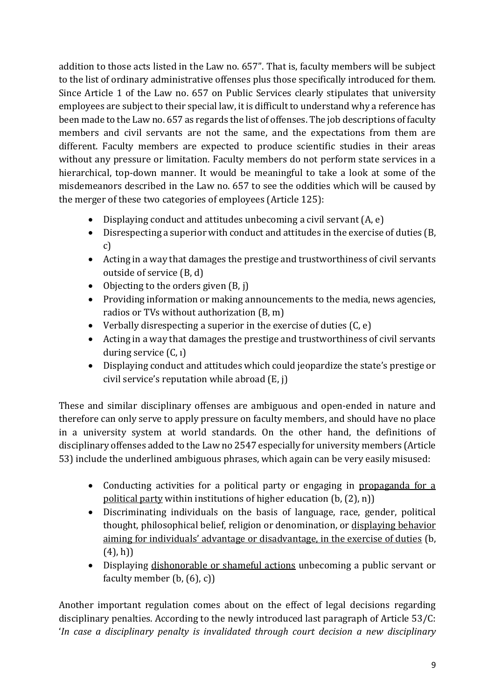addition to those acts listed in the Law no. 657". That is, faculty members will be subject to the list of ordinary administrative offenses plus those specifically introduced for them. Since Article 1 of the Law no. 657 on Public Services clearly stipulates that university employees are subject to their special law, it is difficult to understand why a reference has been made to the Law no. 657 as regards the list of offenses. The job descriptions of faculty members and civil servants are not the same, and the expectations from them are different. Faculty members are expected to produce scientific studies in their areas without any pressure or limitation. Faculty members do not perform state services in a hierarchical, top-down manner. It would be meaningful to take a look at some of the misdemeanors described in the Law no. 657 to see the oddities which will be caused by the merger of these two categories of employees (Article 125):

- $\bullet$  Displaying conduct and attitudes unbecoming a civil servant  $(A, e)$
- Disrespecting a superior with conduct and attitudes in the exercise of duties (B, c)
- Acting in a way that damages the prestige and trustworthiness of civil servants outside of service (B, d)
- Objecting to the orders given  $(B, j)$
- Providing information or making announcements to the media, news agencies, radios or TVs without authorization (B, m)
- Verbally disrespecting a superior in the exercise of duties  $(C, e)$
- Acting in a way that damages the prestige and trustworthiness of civil servants during service (C, ı)
- Displaying conduct and attitudes which could jeopardize the state's prestige or civil service's reputation while abroad (E, j)

These and similar disciplinary offenses are ambiguous and open-ended in nature and therefore can only serve to apply pressure on faculty members, and should have no place in a university system at world standards. On the other hand, the definitions of disciplinary offenses added to the Law no 2547 especially for university members (Article 53) include the underlined ambiguous phrases, which again can be very easily misused:

- Conducting activities for a political party or engaging in propaganda for a political party within institutions of higher education (b, (2), n))
- Discriminating individuals on the basis of language, race, gender, political thought, philosophical belief, religion or denomination, or displaying behavior aiming for individuals' advantage or disadvantage, in the exercise of duties (b,  $(4)$ , h))
- Displaying dishonorable or shameful actions unbecoming a public servant or faculty member (b, (6), c))

Another important regulation comes about on the effect of legal decisions regarding disciplinary penalties. According to the newly introduced last paragraph of Article 53/C: '*In case a disciplinary penalty is invalidated through court decision a new disciplinary*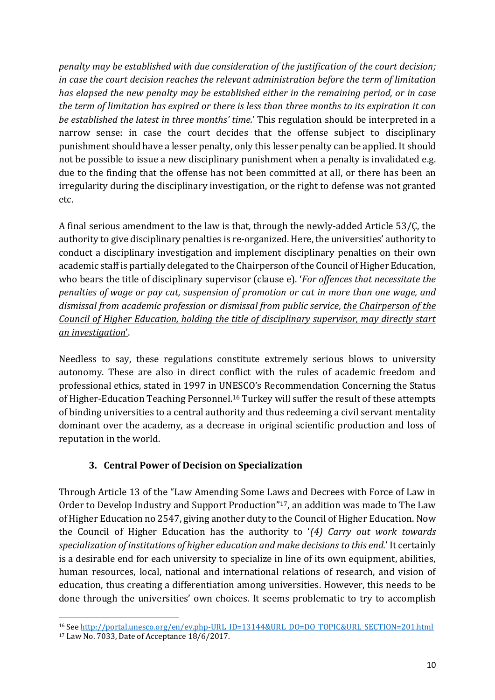*penalty may be established with due consideration of the justification of the court decision; in case the court decision reaches the relevant administration before the term of limitation has elapsed the new penalty may be established either in the remaining period, or in case the term of limitation has expired or there is less than three months to its expiration it can be established the latest in three months' time.*' This regulation should be interpreted in a narrow sense: in case the court decides that the offense subject to disciplinary punishment should have a lesser penalty, only this lesser penalty can be applied. It should not be possible to issue a new disciplinary punishment when a penalty is invalidated e.g. due to the finding that the offense has not been committed at all, or there has been an irregularity during the disciplinary investigation, or the right to defense was not granted etc.

A final serious amendment to the law is that, through the newly-added Article 53/Ç, the authority to give disciplinary penalties is re-organized. Here, the universities' authority to conduct a disciplinary investigation and implement disciplinary penalties on their own academic staff is partially delegated to the Chairperson of the Council of Higher Education, who bears the title of disciplinary supervisor (clause e). '*For offences that necessitate the penalties of wage or pay cut, suspension of promotion or cut in more than one wage, and dismissal from academic profession or dismissal from public service, the Chairperson of the Council of Higher Education, holding the title of disciplinary supervisor, may directly start an investigation*'.

Needless to say, these regulations constitute extremely serious blows to university autonomy. These are also in direct conflict with the rules of academic freedom and professional ethics, stated in 1997 in UNESCO's Recommendation Concerning the Status of Higher-Education Teaching Personnel.<sup>16</sup> Turkey will suffer the result of these attempts of binding universities to a central authority and thus redeeming a civil servant mentality dominant over the academy, as a decrease in original scientific production and loss of reputation in the world.

# **3. Central Power of Decision on Specialization**

Through Article 13 of the "Law Amending Some Laws and Decrees with Force of Law in Order to Develop Industry and Support Production" <sup>17</sup>, an addition was made to The Law of Higher Education no 2547, giving another duty to the Council of Higher Education. Now the Council of Higher Education has the authority to '*(4) Carry out work towards specialization of institutions of higher education and make decisions to this end.*' It certainly is a desirable end for each university to specialize in line of its own equipment, abilities, human resources, local, national and international relations of research, and vision of education, thus creating a differentiation among universities. However, this needs to be done through the universities' own choices. It seems problematic to try to accomplish

<sup>16</sup> See [http://portal.unesco.org/en/ev.php-URL\\_ID=13144&URL\\_DO=DO\\_TOPIC&URL\\_SECTION=201.html](http://portal.unesco.org/en/ev.php-URL_ID=13144&URL_DO=DO_TOPIC&URL_SECTION=201.html)

<sup>17</sup> Law No. 7033, Date of Acceptance 18/6/2017.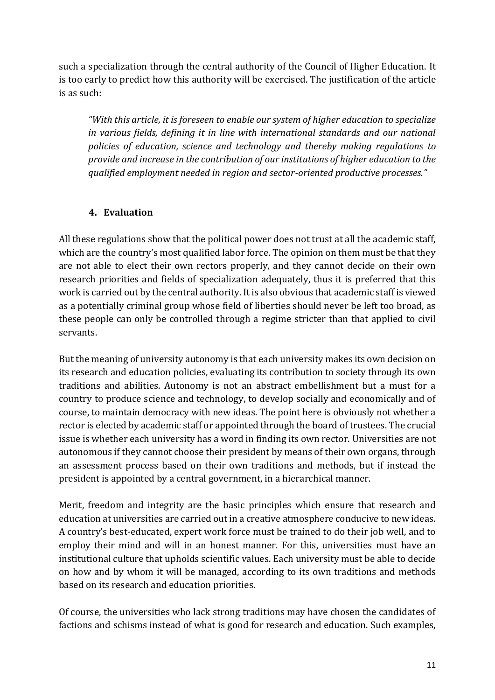such a specialization through the central authority of the Council of Higher Education. It is too early to predict how this authority will be exercised. The justification of the article is as such:

*"With this article, it is foreseen to enable our system of higher education to specialize in various fields, defining it in line with international standards and our national policies of education, science and technology and thereby making regulations to provide and increase in the contribution of our institutions of higher education to the qualified employment needed in region and sector-oriented productive processes."*

# **4. Evaluation**

All these regulations show that the political power does not trust at all the academic staff, which are the country's most qualified labor force. The opinion on them must be that they are not able to elect their own rectors properly, and they cannot decide on their own research priorities and fields of specialization adequately, thus it is preferred that this work is carried out by the central authority. It is also obvious that academic staff is viewed as a potentially criminal group whose field of liberties should never be left too broad, as these people can only be controlled through a regime stricter than that applied to civil servants.

But the meaning of university autonomy is that each university makes its own decision on its research and education policies, evaluating its contribution to society through its own traditions and abilities. Autonomy is not an abstract embellishment but a must for a country to produce science and technology, to develop socially and economically and of course, to maintain democracy with new ideas. The point here is obviously not whether a rector is elected by academic staff or appointed through the board of trustees. The crucial issue is whether each university has a word in finding its own rector. Universities are not autonomous if they cannot choose their president by means of their own organs, through an assessment process based on their own traditions and methods, but if instead the president is appointed by a central government, in a hierarchical manner.

Merit, freedom and integrity are the basic principles which ensure that research and education at universities are carried out in a creative atmosphere conducive to new ideas. A country's best-educated, expert work force must be trained to do their job well, and to employ their mind and will in an honest manner. For this, universities must have an institutional culture that upholds scientific values. Each university must be able to decide on how and by whom it will be managed, according to its own traditions and methods based on its research and education priorities.

Of course, the universities who lack strong traditions may have chosen the candidates of factions and schisms instead of what is good for research and education. Such examples,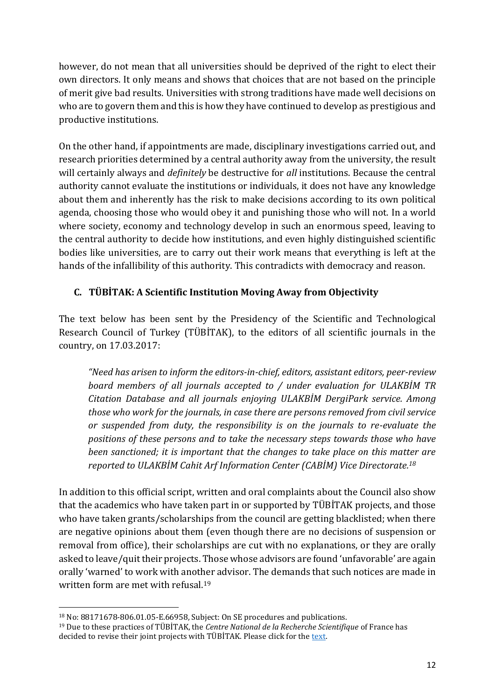however, do not mean that all universities should be deprived of the right to elect their own directors. It only means and shows that choices that are not based on the principle of merit give bad results. Universities with strong traditions have made well decisions on who are to govern them and this is how they have continued to develop as prestigious and productive institutions.

On the other hand, if appointments are made, disciplinary investigations carried out, and research priorities determined by a central authority away from the university, the result will certainly always and *definitely* be destructive for *all* institutions. Because the central authority cannot evaluate the institutions or individuals, it does not have any knowledge about them and inherently has the risk to make decisions according to its own political agenda, choosing those who would obey it and punishing those who will not. In a world where society, economy and technology develop in such an enormous speed, leaving to the central authority to decide how institutions, and even highly distinguished scientific bodies like universities, are to carry out their work means that everything is left at the hands of the infallibility of this authority. This contradicts with democracy and reason.

## **C. TÜBİTAK: A Scientific Institution Moving Away from Objectivity**

The text below has been sent by the Presidency of the Scientific and Technological Research Council of Turkey (TÜBİTAK), to the editors of all scientific journals in the country, on 17.03.2017:

*"Need has arisen to inform the editors-in-chief, editors, assistant editors, peer-review board members of all journals accepted to / under evaluation for ULAKBİM TR Citation Database and all journals enjoying ULAKBİM DergiPark service. Among those who work for the journals, in case there are persons removed from civil service or suspended from duty, the responsibility is on the journals to re-evaluate the positions of these persons and to take the necessary steps towards those who have been sanctioned; it is important that the changes to take place on this matter are reported to ULAKBİM Cahit Arf Information Center (CABİM) Vice Directorate. 18*

In addition to this official script, written and oral complaints about the Council also show that the academics who have taken part in or supported by TÜBİTAK projects, and those who have taken grants/scholarships from the council are getting blacklisted; when there are negative opinions about them (even though there are no decisions of suspension or removal from office), their scholarships are cut with no explanations, or they are orally asked to leave/quit their projects. Those whose advisors are found 'unfavorable' are again orally 'warned' to work with another advisor. The demands that such notices are made in written form are met with refusal.<sup>19</sup>

 $\overline{\phantom{a}}$ <sup>18</sup> No: 88171678-806.01.05-E.66958, Subject: On SE procedures and publications.

<sup>19</sup> Due to these practices of TÜBİTAK, the *Centre National de la Recherche Scientifique* of France has decided to revise their joint projects with TÜBİTAK. Please click for the text.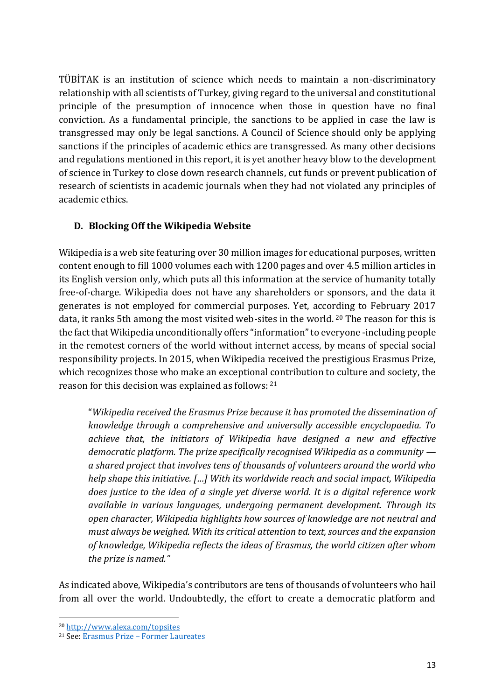TÜBİTAK is an institution of science which needs to maintain a non-discriminatory relationship with all scientists of Turkey, giving regard to the universal and constitutional principle of the presumption of innocence when those in question have no final conviction. As a fundamental principle, the sanctions to be applied in case the law is transgressed may only be legal sanctions. A Council of Science should only be applying sanctions if the principles of academic ethics are transgressed. As many other decisions and regulations mentioned in this report, it is yet another heavy blow to the development of science in Turkey to close down research channels, cut funds or prevent publication of research of scientists in academic journals when they had not violated any principles of academic ethics.

## **D. Blocking Off the Wikipedia Website**

Wikipedia is a web site featuring over 30 million images for educational purposes, written content enough to fill 1000 volumes each with 1200 pages and over 4.5 million articles in its English version only, which puts all this information at the service of humanity totally free-of-charge. Wikipedia does not have any shareholders or sponsors, and the data it generates is not employed for commercial purposes. Yet, according to February 2017 data, it ranks 5th among the most visited web-sites in the world. <sup>20</sup> The reason for this is the fact that Wikipedia unconditionally offers "information" to everyone -including people in the remotest corners of the world without internet access, by means of special social responsibility projects. In 2015, when Wikipedia received the prestigious Erasmus Prize, which recognizes those who make an exceptional contribution to culture and society, the reason for this decision was explained as follows: <sup>21</sup>

"*Wikipedia received the Erasmus Prize because it has promoted the dissemination of knowledge through a comprehensive and universally accessible encyclopaedia. To achieve that, the initiators of Wikipedia have designed a new and effective democratic platform. The prize specifically recognised Wikipedia as a community a shared project that involves tens of thousands of volunteers around the world who help shape this initiative. […] With its worldwide reach and social impact, Wikipedia does justice to the idea of a single yet diverse world. It is a digital reference work available in various languages, undergoing permanent development. Through its open character, Wikipedia highlights how sources of knowledge are not neutral and must always be weighed. With its critical attention to text, sources and the expansion of knowledge, Wikipedia reflects the ideas of Erasmus, the world citizen after whom the prize is named."*

As indicated above, Wikipedia's contributors are tens of thousands of volunteers who hail from all over the world. Undoubtedly, the effort to create a democratic platform and

<sup>20</sup> <http://www.alexa.com/topsites>

<sup>21</sup> See: Erasmus Prize – [Former Laureates](http://www.erasmusprijs.org/Prijswinnaars?itemid=6E14E89A-B503-03A7-788280E2CD593D04&mode=detail&lang=en)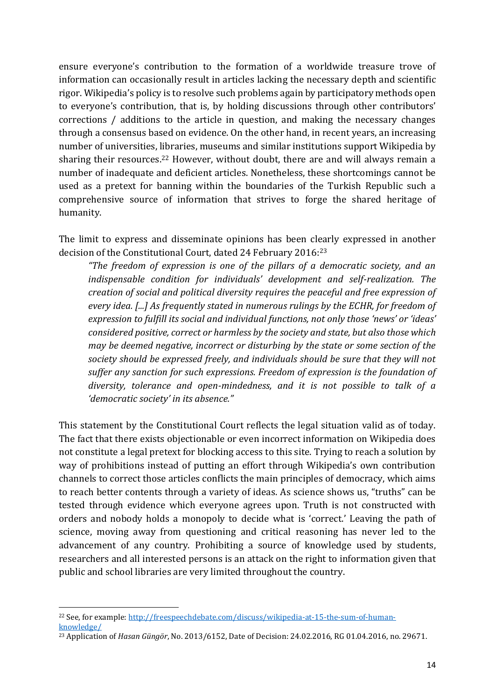ensure everyone's contribution to the formation of a worldwide treasure trove of information can occasionally result in articles lacking the necessary depth and scientific rigor. Wikipedia's policy is to resolve such problems again by participatory methods open to everyone's contribution, that is, by holding discussions through other contributors' corrections / additions to the article in question, and making the necessary changes through a consensus based on evidence. On the other hand, in recent years, an increasing number of universities, libraries, museums and similar institutions support Wikipedia by sharing their resources.<sup>22</sup> However, without doubt, there are and will always remain a number of inadequate and deficient articles. Nonetheless, these shortcomings cannot be used as a pretext for banning within the boundaries of the Turkish Republic such a comprehensive source of information that strives to forge the shared heritage of humanity.

The limit to express and disseminate opinions has been clearly expressed in another decision of the Constitutional Court, dated 24 February 2016:<sup>23</sup>

*"The freedom of expression is one of the pillars of a democratic society, and an indispensable condition for individuals' development and self-realization. The creation of social and political diversity requires the peaceful and free expression of every idea. [...] As frequently stated in numerous rulings by the ECHR, for freedom of expression to fulfill its social and individual functions, not only those 'news' or 'ideas' considered positive, correct or harmless by the society and state, but also those which may be deemed negative, incorrect or disturbing by the state or some section of the society should be expressed freely, and individuals should be sure that they will not suffer any sanction for such expressions. Freedom of expression is the foundation of diversity, tolerance and open-mindedness, and it is not possible to talk of a 'democratic society' in its absence."*

This statement by the Constitutional Court reflects the legal situation valid as of today. The fact that there exists objectionable or even incorrect information on Wikipedia does not constitute a legal pretext for blocking access to this site. Trying to reach a solution by way of prohibitions instead of putting an effort through Wikipedia's own contribution channels to correct those articles conflicts the main principles of democracy, which aims to reach better contents through a variety of ideas. As science shows us, "truths" can be tested through evidence which everyone agrees upon. Truth is not constructed with orders and nobody holds a monopoly to decide what is 'correct.' Leaving the path of science, moving away from questioning and critical reasoning has never led to the advancement of any country. Prohibiting a source of knowledge used by students, researchers and all interested persons is an attack on the right to information given that public and school libraries are very limited throughout the country.

 $\overline{\phantom{a}}$ 

<sup>&</sup>lt;sup>22</sup> See, for example: [http://freespeechdebate.com/discuss/wikipedia-at-15-the-sum-of-human](http://freespeechdebate.com/discuss/wikipedia-at-15-the-sum-of-human-knowledge/)[knowledge/](http://freespeechdebate.com/discuss/wikipedia-at-15-the-sum-of-human-knowledge/)

<sup>23</sup> Application of *Hasan Güngör*, No. 2013/6152, Date of Decision: 24.02.2016, RG 01.04.2016, no. 29671.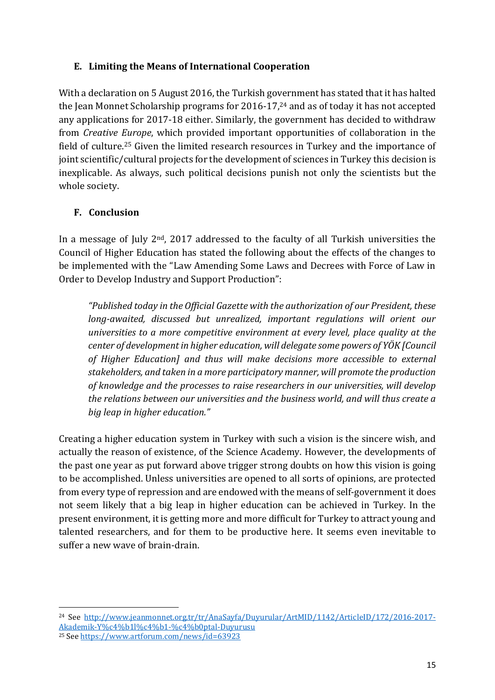## **E. Limiting the Means of International Cooperation**

With a declaration on 5 August 2016, the Turkish government has stated that it has halted the Jean Monnet Scholarship programs for 2016-17, <sup>24</sup> and as of today it has not accepted any applications for 2017-18 either. Similarly, the government has decided to withdraw from *Creative Europe*, which provided important opportunities of collaboration in the field of culture.<sup>25</sup> Given the limited research resources in Turkey and the importance of joint scientific/cultural projects for the development of sciences in Turkey this decision is inexplicable. As always, such political decisions punish not only the scientists but the whole society.

# **F. Conclusion**

In a message of July 2nd, 2017 addressed to the faculty of all Turkish universities the Council of Higher Education has stated the following about the effects of the changes to be implemented with the "Law Amending Some Laws and Decrees with Force of Law in Order to Develop Industry and Support Production":

*"Published today in the Official Gazette with the authorization of our President, these long-awaited, discussed but unrealized, important regulations will orient our universities to a more competitive environment at every level, place quality at the center of development in higher education, will delegate some powers of YÖK [Council of Higher Education] and thus will make decisions more accessible to external stakeholders, and taken in a more participatory manner, will promote the production of knowledge and the processes to raise researchers in our universities, will develop the relations between our universities and the business world, and will thus create a big leap in higher education."*

Creating a higher education system in Turkey with such a vision is the sincere wish, and actually the reason of existence, of the Science Academy. However, the developments of the past one year as put forward above trigger strong doubts on how this vision is going to be accomplished. Unless universities are opened to all sorts of opinions, are protected from every type of repression and are endowed with the means of self-government it does not seem likely that a big leap in higher education can be achieved in Turkey. In the present environment, it is getting more and more difficult for Turkey to attract young and talented researchers, and for them to be productive here. It seems even inevitable to suffer a new wave of brain-drain.

 $\overline{\phantom{a}}$ 

<sup>&</sup>lt;sup>24</sup> See [http://www.jeanmonnet.org.tr/tr/AnaSayfa/Duyurular/ArtMID/1142/ArticleID/172/2016-2017-](http://www.jeanmonnet.org.tr/tr/AnaSayfa/Duyurular/ArtMID/1142/ArticleID/172/2016-2017-Akademik-Y%c4%b1l%c4%b1-%c4%b0ptal-Duyurusu) [Akademik-Y%c4%b1l%c4%b1-%c4%b0ptal-Duyurusu](http://www.jeanmonnet.org.tr/tr/AnaSayfa/Duyurular/ArtMID/1142/ArticleID/172/2016-2017-Akademik-Y%c4%b1l%c4%b1-%c4%b0ptal-Duyurusu)

<sup>25</sup> See<https://www.artforum.com/news/id=63923>